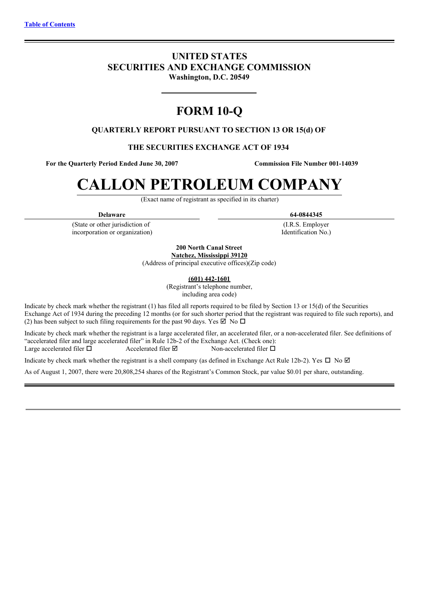# <span id="page-0-0"></span>**UNITED STATES SECURITIES AND EXCHANGE COMMISSION Washington, D.C. 20549**

# **FORM 10-Q**

**QUARTERLY REPORT PURSUANT TO SECTION 13 OR 15(d) OF**

**THE SECURITIES EXCHANGE ACT OF 1934**

**For the Quarterly Period Ended June 30, 2007 Commission File Number 001-14039**

# **CALLON PETROLEUM COMPANY**

(Exact name of registrant as specified in its charter)

(State or other jurisdiction of incorporation or organization)

**Delaware 64-0844345**

(I.R.S. Employer Identification No.)

**200 North Canal Street Natchez, Mississippi 39120**

(Address of principal executive offices)(Zip code)

**(601) 442-1601**

(Registrant's telephone number, including area code)

Indicate by check mark whether the registrant (1) has filed all reports required to be filed by Section 13 or 15(d) of the Securities Exchange Act of 1934 during the preceding 12 months (or for such shorter period that the registrant was required to file such reports), and (2) has been subject to such filing requirements for the past 90 days. Yes  $\overline{\boxtimes}$  No  $\Box$ 

Indicate by check mark whether the registrant is a large accelerated filer, an accelerated filer, or a non-accelerated filer. See definitions of "accelerated filer and large accelerated filer" in Rule 12b-2 of the Exchange Act. (Check one): Large accelerated filer  $\Box$  Accelerated filer  $\Box$  Non-accelerated filer  $\Box$ 

Indicate by check mark whether the registrant is a shell company (as defined in Exchange Act Rule 12b-2). Yes  $\Box$  No  $\Box$ 

As of August 1, 2007, there were 20,808,254 shares of the Registrant's Common Stock, par value \$0.01 per share, outstanding.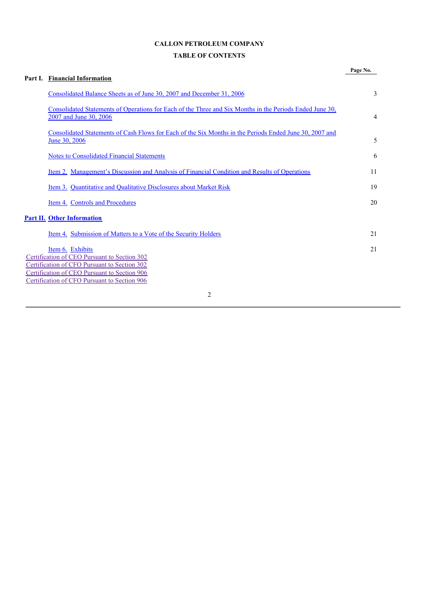# **CALLON PETROLEUM COMPANY**

# **TABLE OF CONTENTS**

| Part I. | <b>Financial Information</b>                                                                                                                                                                                     | Page No. |
|---------|------------------------------------------------------------------------------------------------------------------------------------------------------------------------------------------------------------------|----------|
|         | Consolidated Balance Sheets as of June 30, 2007 and December 31, 2006                                                                                                                                            | 3        |
|         | Consolidated Statements of Operations for Each of the Three and Six Months in the Periods Ended June 30,<br>2007 and June 30, 2006                                                                               | 4        |
|         | Consolidated Statements of Cash Flows for Each of the Six Months in the Periods Ended June 30, 2007 and<br>June 30, 2006                                                                                         | 5        |
|         | <b>Notes to Consolidated Financial Statements</b>                                                                                                                                                                | 6        |
|         | <u>Item 2. Management's Discussion and Analysis of Financial Condition and Results of Operations</u>                                                                                                             | 11       |
|         | <u>Item 3. Quantitative and Qualitative Disclosures about Market Risk</u>                                                                                                                                        | 19       |
|         | Item 4. Controls and Procedures                                                                                                                                                                                  | 20       |
|         | <b>Part II. Other Information</b>                                                                                                                                                                                |          |
|         | Item 4. Submission of Matters to a Vote of the Security Holders                                                                                                                                                  | 21       |
|         | Item 6. Exhibits<br>Certification of CEO Pursuant to Section 302<br>Certification of CFO Pursuant to Section 302<br>Certification of CEO Pursuant to Section 906<br>Certification of CFO Pursuant to Section 906 | 21       |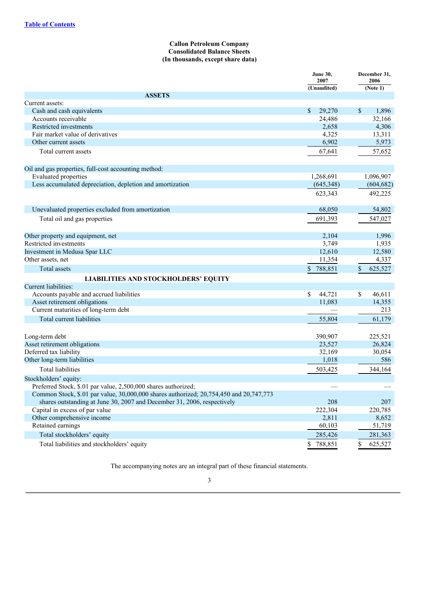# **Callon Petroleum Company Consolidated Balance Sheets (In thousands, except share data)**

|                                                                                        | <b>June 30,</b><br>2007 | December 31,<br>2006 |  |
|----------------------------------------------------------------------------------------|-------------------------|----------------------|--|
|                                                                                        | (Unaudited)             | (Note 1)             |  |
| <b>ASSETS</b>                                                                          |                         |                      |  |
| Current assets:                                                                        |                         |                      |  |
| Cash and cash equivalents                                                              | $\mathbb{S}$<br>29,270  | \$<br>1,896          |  |
| Accounts receivable                                                                    | 24,486                  | 32,166               |  |
| Restricted investments                                                                 | 2,658                   | 4,306                |  |
| Fair market value of derivatives                                                       | 4,325                   | 13,311               |  |
| Other current assets                                                                   | 6,902                   | 5,973                |  |
| Total current assets                                                                   | 67,641                  | 57,652               |  |
| Oil and gas properties, full-cost accounting method:                                   |                         |                      |  |
| <b>Evaluated properties</b>                                                            | 1,268,691               | 1,096,907            |  |
| Less accumulated depreciation, depletion and amortization                              | (645,348)               | (604, 682)           |  |
|                                                                                        | 623,343                 | 492,225              |  |
| Unevaluated properties excluded from amortization                                      | 68,050                  | 54,802               |  |
| Total oil and gas properties                                                           | 691,393                 | 547,027              |  |
| Other property and equipment, net                                                      | 2,104                   | 1,996                |  |
| Restricted investments                                                                 | 3,749                   | 1,935                |  |
| Investment in Medusa Spar LLC                                                          | 12,610                  | 12,580               |  |
| Other assets, net                                                                      | 11,354                  | 4,337                |  |
| <b>Total</b> assets                                                                    | \$<br>788,851           | 625,527<br>\$        |  |
| <b>LIABILITIES AND STOCKHOLDERS' EQUITY</b>                                            |                         |                      |  |
| Current liabilities:                                                                   |                         |                      |  |
| Accounts payable and accrued liabilities                                               | \$<br>44,721            | \$<br>46,611         |  |
| Asset retirement obligations                                                           | 11,083                  | 14,355               |  |
| Current maturities of long-term debt                                                   |                         | 213                  |  |
| Total current liabilities                                                              | 55,804                  | 61,179               |  |
|                                                                                        |                         |                      |  |
| Long-term debt                                                                         | 390,907                 | 225,521              |  |
| Asset retirement obligations                                                           | 23,527                  | 26,824               |  |
| Deferred tax liability                                                                 | 32,169                  | 30,054               |  |
| Other long-term liabilities                                                            | 1,018                   | 586                  |  |
| <b>Total liabilities</b>                                                               | 503,425                 | 344,164              |  |
| Stockholders' equity:                                                                  |                         |                      |  |
| Preferred Stock, \$.01 par value, 2,500,000 shares authorized;                         |                         |                      |  |
| Common Stock, \$.01 par value, 30,000,000 shares authorized; 20,754,450 and 20,747,773 |                         |                      |  |
| shares outstanding at June 30, 2007 and December 31, 2006, respectively                | 208                     | 207                  |  |
| Capital in excess of par value                                                         | 222,304                 | 220,785              |  |
| Other comprehensive income                                                             | 2,811                   | 8,652                |  |
| Retained earnings                                                                      | 60,103                  | 51,719               |  |
| Total stockholders' equity                                                             | 285,426                 | 281,363              |  |
| Total liabilities and stockholders' equity                                             | \$788,851               | 625,527<br>\$        |  |

The accompanying notes are an integral part of these financial statements.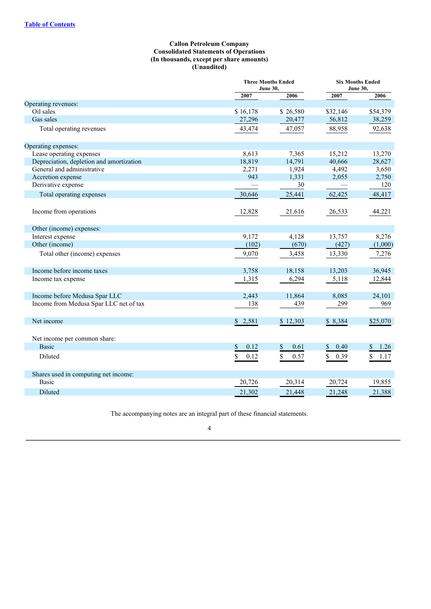# **Callon Petroleum Company Consolidated Statements of Operations (In thousands, except per share amounts) (Unaudited)**

|                                          |            | <b>Three Months Ended</b><br><b>June 30,</b> |            | <b>Six Months Ended</b><br><b>June 30,</b> |
|------------------------------------------|------------|----------------------------------------------|------------|--------------------------------------------|
|                                          | 2007       | 2006                                         | 2007       | 2006                                       |
| Operating revenues:                      |            |                                              |            |                                            |
| Oil sales                                | \$16,178   | \$26,580                                     | \$32,146   | \$54,379                                   |
| Gas sales                                | 27,296     | 20,477                                       | 56,812     | 38,259                                     |
| Total operating revenues                 | 43,474     | 47,057                                       | 88,958     | 92,638                                     |
| Operating expenses:                      |            |                                              |            |                                            |
| Lease operating expenses                 | 8,613      | 7,365                                        | 15,212     | 13,270                                     |
| Depreciation, depletion and amortization | 18,819     | 14,791                                       | 40,666     | 28,627                                     |
| General and administrative               | 2,271      | 1,924                                        | 4,492      | 3,650                                      |
| Accretion expense                        | 943        | 1,331                                        | 2,055      | 2,750                                      |
| Derivative expense                       |            | $30\,$                                       |            | 120                                        |
| Total operating expenses                 | 30,646     | 25,441                                       | 62,425     | 48,417                                     |
| Income from operations                   | 12,828     | 21,616                                       | 26,533     | 44,221                                     |
| Other (income) expenses:                 |            |                                              |            |                                            |
| Interest expense                         | 9,172      | 4,128                                        | 13,757     | 8,276                                      |
| Other (income)                           | (102)      | (670)                                        | (427)      | (1,000)                                    |
| Total other (income) expenses            | 9,070      | 3,458                                        | 13,330     | 7,276                                      |
| Income before income taxes               | 3,758      | 18,158                                       | 13,203     | 36,945                                     |
| Income tax expense                       | 1,315      | 6,294                                        | 5,118      | 12,844                                     |
| Income before Medusa Spar LLC            | 2,443      | 11,864                                       | 8,085      | 24,101                                     |
| Income from Medusa Spar LLC net of tax   | 138        | 439                                          | 299        | 969                                        |
| Net income                               | \$2,581    | \$12,303                                     | \$8,384    | \$25,070                                   |
| Net income per common share:             |            |                                              |            |                                            |
| <b>Basic</b>                             | \$<br>0.12 | \$<br>0.61                                   | 0.40<br>\$ | 1.26<br>\$                                 |
| Diluted                                  | \$<br>0.12 | \$<br>0.57                                   | \$ 0.39    | \$<br>1.17                                 |
| Shares used in computing net income:     |            |                                              |            |                                            |
| Basic                                    | 20,726     | 20,314                                       | 20,724     | 19,855                                     |
| Diluted                                  | 21,302     | 21,448                                       | 21,248     | 21,388                                     |

The accompanying notes are an integral part of these financial statements.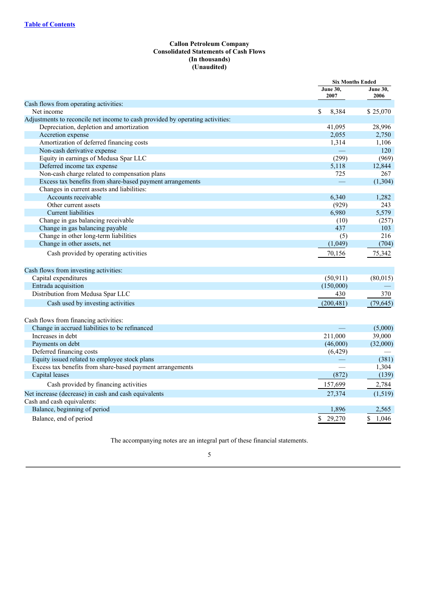# **Callon Petroleum Company Consolidated Statements of Cash Flows (In thousands) (Unaudited)**

|                                                                               | <b>Six Months Ended</b> |                         |
|-------------------------------------------------------------------------------|-------------------------|-------------------------|
|                                                                               | <b>June 30,</b><br>2007 | <b>June 30,</b><br>2006 |
| Cash flows from operating activities:                                         |                         |                         |
| Net income                                                                    | \$<br>8,384             | \$25,070                |
| Adjustments to reconcile net income to cash provided by operating activities: |                         |                         |
| Depreciation, depletion and amortization                                      | 41,095                  | 28,996                  |
| Accretion expense                                                             | 2,055                   | 2,750                   |
| Amortization of deferred financing costs                                      | 1,314                   | 1,106                   |
| Non-cash derivative expense                                                   |                         | 120                     |
| Equity in earnings of Medusa Spar LLC                                         | (299)                   | (969)                   |
| Deferred income tax expense                                                   | 5,118                   | 12,844                  |
| Non-cash charge related to compensation plans                                 | 725                     | 267                     |
| Excess tax benefits from share-based payment arrangements                     |                         | (1, 304)                |
| Changes in current assets and liabilities:                                    |                         |                         |
| Accounts receivable                                                           | 6,340                   | 1,282                   |
| Other current assets                                                          | (929)                   | 243                     |
| <b>Current liabilities</b>                                                    | 6,980                   | 5,579                   |
| Change in gas balancing receivable                                            | (10)                    | (257)                   |
| Change in gas balancing payable                                               | 437                     | 103                     |
| Change in other long-term liabilities                                         | (5)                     | 216                     |
| Change in other assets, net                                                   | (1,049)                 | (704)                   |
| Cash provided by operating activities                                         | 70,156                  | 75,342                  |
| Cash flows from investing activities:                                         |                         |                         |
| Capital expenditures                                                          | (50, 911)               | (80,015)                |
| Entrada acquisition                                                           | (150,000)               |                         |
| Distribution from Medusa Spar LLC                                             | 430                     | 370                     |
| Cash used by investing activities                                             | (200, 481)              | (79, 645)               |
| Cash flows from financing activities:                                         |                         |                         |
| Change in accrued liabilities to be refinanced                                |                         | (5,000)                 |
| Increases in debt                                                             | 211,000                 | 39,000                  |
| Payments on debt                                                              | (46,000)                | (32,000)                |
| Deferred financing costs                                                      | (6, 429)                |                         |
| Equity issued related to employee stock plans                                 |                         | (381)                   |
| Excess tax benefits from share-based payment arrangements                     |                         | 1,304                   |
| Capital leases                                                                | (872)                   | (139)                   |
| Cash provided by financing activities                                         | 157,699                 | 2,784                   |
| Net increase (decrease) in cash and cash equivalents                          | 27,374                  | (1,519)                 |
| Cash and cash equivalents:                                                    |                         |                         |
| Balance, beginning of period                                                  | 1,896                   | 2,565                   |
| Balance, end of period                                                        | 29,270<br>\$            | \$<br>1,046             |

The accompanying notes are an integral part of these financial statements.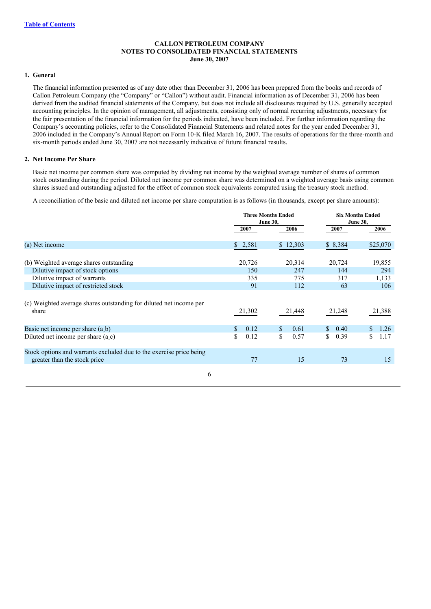#### **CALLON PETROLEUM COMPANY NOTES TO CONSOLIDATED FINANCIAL STATEMENTS June 30, 2007**

#### **1. General**

The financial information presented as of any date other than December 31, 2006 has been prepared from the books and records of Callon Petroleum Company (the "Company" or "Callon") without audit. Financial information as of December 31, 2006 has been derived from the audited financial statements of the Company, but does not include all disclosures required by U.S. generally accepted accounting principles. In the opinion of management, all adjustments, consisting only of normal recurring adjustments, necessary for the fair presentation of the financial information for the periods indicated, have been included. For further information regarding the Company's accounting policies, refer to the Consolidated Financial Statements and related notes for the year ended December 31, 2006 included in the Company's Annual Report on Form 10-K filed March 16, 2007. The results of operations for the three-month and six-month periods ended June 30, 2007 are not necessarily indicative of future financial results.

#### **2. Net Income Per Share**

Basic net income per common share was computed by dividing net income by the weighted average number of shares of common stock outstanding during the period. Diluted net income per common share was determined on a weighted average basis using common shares issued and outstanding adjusted for the effect of common stock equivalents computed using the treasury stock method.

A reconciliation of the basic and diluted net income per share computation is as follows (in thousands, except per share amounts):

|                                                                                                     |     | <b>Three Months Ended</b><br><b>June 30,</b> |    |          | <b>Six Months Ended</b><br><b>June 30,</b> |         |   |          |
|-----------------------------------------------------------------------------------------------------|-----|----------------------------------------------|----|----------|--------------------------------------------|---------|---|----------|
|                                                                                                     |     | 2007                                         |    | 2006     |                                            | 2007    |   | 2006     |
| (a) Net income                                                                                      |     | \$2,581                                      |    | \$12,303 |                                            | \$8,384 |   | \$25,070 |
| (b) Weighted average shares outstanding                                                             |     | 20,726                                       |    | 20,314   |                                            | 20,724  |   | 19,855   |
| Dilutive impact of stock options                                                                    |     | 150                                          |    | 247      |                                            | 144     |   | 294      |
| Dilutive impact of warrants                                                                         |     | 335                                          |    | 775      |                                            | 317     |   | 1,133    |
| Dilutive impact of restricted stock                                                                 |     | 91                                           |    | 112      |                                            | 63      |   | 106      |
| (c) Weighted average shares outstanding for diluted net income per                                  |     |                                              |    |          |                                            |         |   |          |
| share                                                                                               |     | 21,302                                       |    | 21,448   |                                            | 21,248  |   | 21,388   |
| Basic net income per share $(a, b)$                                                                 | \$. | 0.12                                         | S. | 0.61     | \$.                                        | 0.40    |   | 1.26     |
| Diluted net income per share $(a, c)$                                                               | \$  | 0.12                                         | \$ | 0.57     | \$                                         | 0.39    | S | 1.17     |
| Stock options and warrants excluded due to the exercise price being<br>greater than the stock price |     | 77                                           |    | 15       |                                            | 73      |   | 15       |
| 6                                                                                                   |     |                                              |    |          |                                            |         |   |          |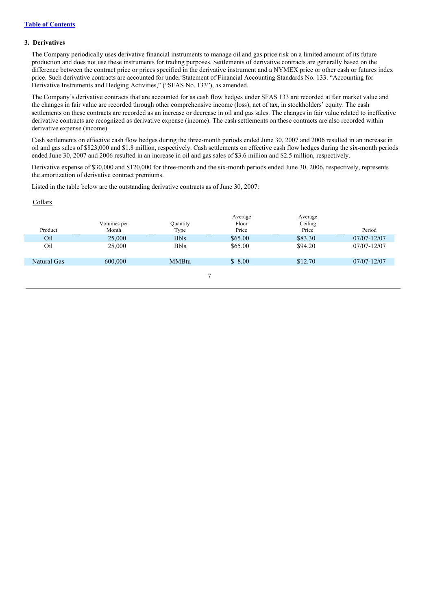# **3. Derivatives**

The Company periodically uses derivative financial instruments to manage oil and gas price risk on a limited amount of its future production and does not use these instruments for trading purposes. Settlements of derivative contracts are generally based on the difference between the contract price or prices specified in the derivative instrument and a NYMEX price or other cash or futures index price. Such derivative contracts are accounted for under Statement of Financial Accounting Standards No. 133. "Accounting for Derivative Instruments and Hedging Activities," ("SFAS No. 133"), as amended.

The Company's derivative contracts that are accounted for as cash flow hedges under SFAS 133 are recorded at fair market value and the changes in fair value are recorded through other comprehensive income (loss), net of tax, in stockholders' equity. The cash settlements on these contracts are recorded as an increase or decrease in oil and gas sales. The changes in fair value related to ineffective derivative contracts are recognized as derivative expense (income). The cash settlements on these contracts are also recorded within derivative expense (income).

Cash settlements on effective cash flow hedges during the three-month periods ended June 30, 2007 and 2006 resulted in an increase in oil and gas sales of \$823,000 and \$1.8 million, respectively. Cash settlements on effective cash flow hedges during the six-month periods ended June 30, 2007 and 2006 resulted in an increase in oil and gas sales of \$3.6 million and \$2.5 million, respectively.

Derivative expense of \$30,000 and \$120,000 for three-month and the six-month periods ended June 30, 2006, respectively, represents the amortization of derivative contract premiums.

Listed in the table below are the outstanding derivative contracts as of June 30, 2007:

#### **Collars**

| Product         | Volumes per<br>Month | Quantity<br>Type | Average<br>Floor<br>Price | Average<br>Ceiling<br>Price | Period      |
|-----------------|----------------------|------------------|---------------------------|-----------------------------|-------------|
| O <sub>il</sub> | 25,000               | <b>Bbls</b>      | \$65.00                   | \$83.30                     | 07/07-12/07 |
| O <sub>il</sub> | 25,000               | <b>Bbls</b>      | \$65.00                   | \$94.20                     | 07/07-12/07 |
| Natural Gas     | 600,000              | <b>MMBtu</b>     | \$8.00                    | \$12.70                     | 07/07-12/07 |
|                 |                      |                  |                           |                             |             |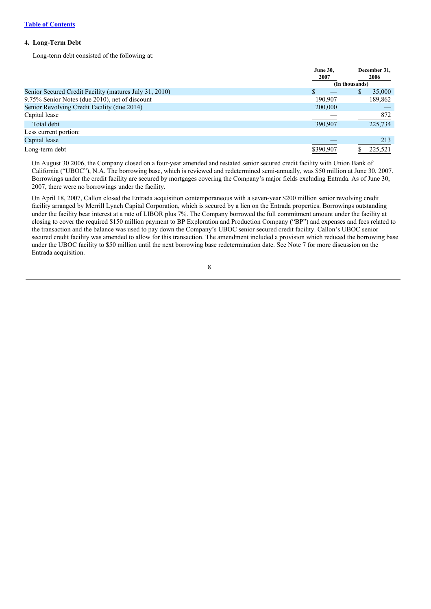# **4. Long-Term Debt**

Long-term debt consisted of the following at:

|                                                        | <b>June 30,</b><br>2007 | December 31,<br>2006   |
|--------------------------------------------------------|-------------------------|------------------------|
|                                                        |                         | (In thousands)         |
| Senior Secured Credit Facility (matures July 31, 2010) | \$.                     | 35,000<br><sup>S</sup> |
| 9.75% Senior Notes (due 2010), net of discount         | 190,907                 | 189,862                |
| Senior Revolving Credit Facility (due 2014)            | 200,000                 |                        |
| Capital lease                                          |                         | 872                    |
| Total debt                                             | 390,907                 | 225,734                |
| Less current portion:                                  |                         |                        |
| Capital lease                                          |                         | 213                    |
| Long-term debt                                         | \$390,907               | 225.521                |

On August 30 2006, the Company closed on a four-year amended and restated senior secured credit facility with Union Bank of California ("UBOC"), N.A. The borrowing base, which is reviewed and redetermined semi-annually, was \$50 million at June 30, 2007. Borrowings under the credit facility are secured by mortgages covering the Company's major fields excluding Entrada. As of June 30, 2007, there were no borrowings under the facility.

On April 18, 2007, Callon closed the Entrada acquisition contemporaneous with a seven-year \$200 million senior revolving credit facility arranged by Merrill Lynch Capital Corporation, which is secured by a lien on the Entrada properties. Borrowings outstanding under the facility bear interest at a rate of LIBOR plus 7%. The Company borrowed the full commitment amount under the facility at closing to cover the required \$150 million payment to BP Exploration and Production Company ("BP") and expenses and fees related to the transaction and the balance was used to pay down the Company's UBOC senior secured credit facility. Callon's UBOC senior secured credit facility was amended to allow for this transaction. The amendment included a provision which reduced the borrowing base under the UBOC facility to \$50 million until the next borrowing base redetermination date. See Note 7 for more discussion on the Entrada acquisition.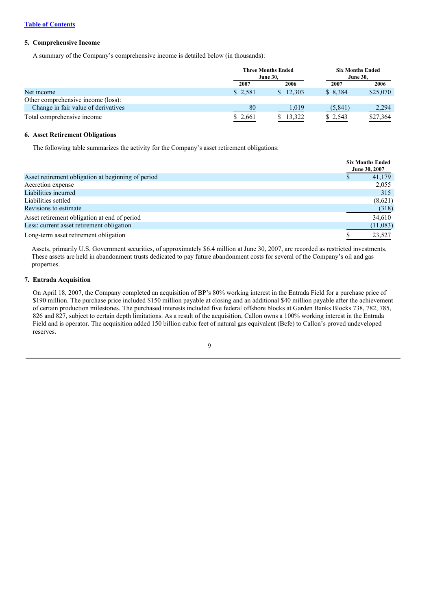# **5. Comprehensive Income**

A summary of the Company's comprehensive income is detailed below (in thousands):

|                                     |         | <b>Three Months Ended</b><br><b>June 30.</b> |          | <b>Six Months Ended</b><br><b>June 30.</b> |
|-------------------------------------|---------|----------------------------------------------|----------|--------------------------------------------|
|                                     | 2007    | 2006                                         | 2007     | 2006                                       |
| Net income                          | \$2.581 | \$12.303                                     | \$8.384  | \$25,070                                   |
| Other comprehensive income (loss):  |         |                                              |          |                                            |
| Change in fair value of derivatives | 80      | 1,019                                        | (5, 841) | 2,294                                      |
| Total comprehensive income          | \$2,661 | 13.322                                       | \$ 2,543 | \$27,364                                   |

#### **6. Asset Retirement Obligations**

The following table summarizes the activity for the Company's asset retirement obligations:

|                                                    | <b>Six Months Ended</b> |
|----------------------------------------------------|-------------------------|
|                                                    | June 30, 2007           |
| Asset retirement obligation at beginning of period | 41.179                  |
| Accretion expense                                  | 2,055                   |
| Liabilities incurred                               | 315                     |
| Liabilities settled                                | (8,621)                 |
| Revisions to estimate                              | (318)                   |
| Asset retirement obligation at end of period       | 34,610                  |
| Less: current asset retirement obligation          | (11,083)                |
| Long-term asset retirement obligation              | 23.527                  |

Assets, primarily U.S. Government securities, of approximately \$6.4 million at June 30, 2007, are recorded as restricted investments. These assets are held in abandonment trusts dedicated to pay future abandonment costs for several of the Company's oil and gas properties.

# **7. Entrada Acquisition**

On April 18, 2007, the Company completed an acquisition of BP's 80% working interest in the Entrada Field for a purchase price of \$190 million. The purchase price included \$150 million payable at closing and an additional \$40 million payable after the achievement of certain production milestones. The purchased interests included five federal offshore blocks at Garden Banks Blocks 738, 782, 785, 826 and 827, subject to certain depth limitations. As a result of the acquisition, Callon owns a 100% working interest in the Entrada Field and is operator. The acquisition added 150 billion cubic feet of natural gas equivalent (Bcfe) to Callon's proved undeveloped reserves.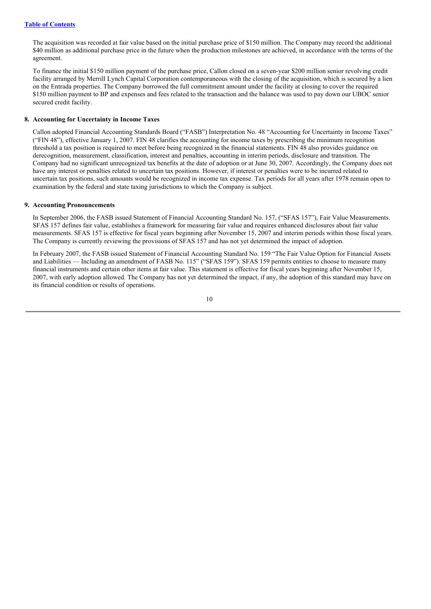The acquisition was recorded at fair value based on the initial purchase price of \$150 million. The Company may record the additional \$40 million as additional purchase price in the future when the production milestones are achieved, in accordance with the terms of the agreement.

To finance the initial \$150 million payment of the purchase price, Callon closed on a seven-year \$200 million senior revolving credit facility arranged by Merrill Lynch Capital Corporation contemporaneous with the closing of the acquisition, which is secured by a lien on the Entrada properties. The Company borrowed the full commitment amount under the facility at closing to cover the required \$150 million payment to BP and expenses and fees related to the transaction and the balance was used to pay down our UBOC senior secured credit facility.

#### **8. Accounting for Uncertainty in Income Taxes**

Callon adopted Financial Accounting Standards Board ("FASB") Interpretation No. 48 "Accounting for Uncertainty in Income Taxes" ("FIN 48"), effective January 1, 2007. FIN 48 clarifies the accounting for income taxes by prescribing the minimum recognition threshold a tax position is required to meet before being recognized in the financial statements. FIN 48 also provides guidance on derecognition, measurement, classification, interest and penalties, accounting in interim periods, disclosure and transition. The Company had no significant unrecognized tax benefits at the date of adoption or at June 30, 2007. Accordingly, the Company does not have any interest or penalties related to uncertain tax positions. However, if interest or penalties were to be incurred related to uncertain tax positions, such amounts would be recognized in income tax expense. Tax periods for all years after 1978 remain open to examination by the federal and state taxing jurisdictions to which the Company is subject.

#### **9. Accounting Pronouncements**

In September 2006, the FASB issued Statement of Financial Accounting Standard No. 157, ("SFAS 157"), Fair Value Measurements. SFAS 157 defines fair value, establishes a framework for measuring fair value and requires enhanced disclosures about fair value measurements. SFAS 157 is effective for fiscal years beginning after November 15, 2007 and interim periods within those fiscal years. The Company is currently reviewing the provisions of SFAS 157 and has not yet determined the impact of adoption.

In February 2007, the FASB issued Statement of Financial Accounting Standard No. 159 "The Fair Value Option for Financial Assets and Liabilities — Including an amendment of FASB No. 115" ("SFAS 159"). SFAS 159 permits entities to choose to measure many financial instruments and certain other items at fair value. This statement is effective for fiscal years beginning after November 15, 2007, with early adoption allowed. The Company has not yet determined the impact, if any, the adoption of this standard may have on its financial condition or results of operations.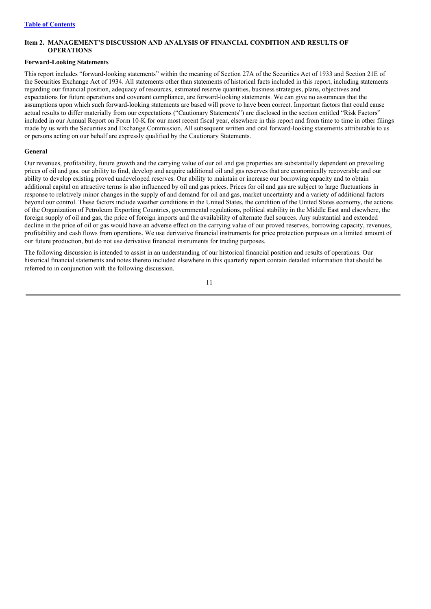#### **Item 2. MANAGEMENT'S DISCUSSION AND ANALYSIS OF FINANCIAL CONDITION AND RESULTS OF OPERATIONS**

#### **Forward-Looking Statements**

This report includes "forward-looking statements" within the meaning of Section 27A of the Securities Act of 1933 and Section 21E of the Securities Exchange Act of 1934. All statements other than statements of historical facts included in this report, including statements regarding our financial position, adequacy of resources, estimated reserve quantities, business strategies, plans, objectives and expectations for future operations and covenant compliance, are forward-looking statements. We can give no assurances that the assumptions upon which such forward-looking statements are based will prove to have been correct. Important factors that could cause actual results to differ materially from our expectations ("Cautionary Statements") are disclosed in the section entitled "Risk Factors" included in our Annual Report on Form 10-K for our most recent fiscal year, elsewhere in this report and from time to time in other filings made by us with the Securities and Exchange Commission. All subsequent written and oral forward-looking statements attributable to us or persons acting on our behalf are expressly qualified by the Cautionary Statements.

#### **General**

Our revenues, profitability, future growth and the carrying value of our oil and gas properties are substantially dependent on prevailing prices of oil and gas, our ability to find, develop and acquire additional oil and gas reserves that are economically recoverable and our ability to develop existing proved undeveloped reserves. Our ability to maintain or increase our borrowing capacity and to obtain additional capital on attractive terms is also influenced by oil and gas prices. Prices for oil and gas are subject to large fluctuations in response to relatively minor changes in the supply of and demand for oil and gas, market uncertainty and a variety of additional factors beyond our control. These factors include weather conditions in the United States, the condition of the United States economy, the actions of the Organization of Petroleum Exporting Countries, governmental regulations, political stability in the Middle East and elsewhere, the foreign supply of oil and gas, the price of foreign imports and the availability of alternate fuel sources. Any substantial and extended decline in the price of oil or gas would have an adverse effect on the carrying value of our proved reserves, borrowing capacity, revenues, profitability and cash flows from operations. We use derivative financial instruments for price protection purposes on a limited amount of our future production, but do not use derivative financial instruments for trading purposes.

The following discussion is intended to assist in an understanding of our historical financial position and results of operations. Our historical financial statements and notes thereto included elsewhere in this quarterly report contain detailed information that should be referred to in conjunction with the following discussion.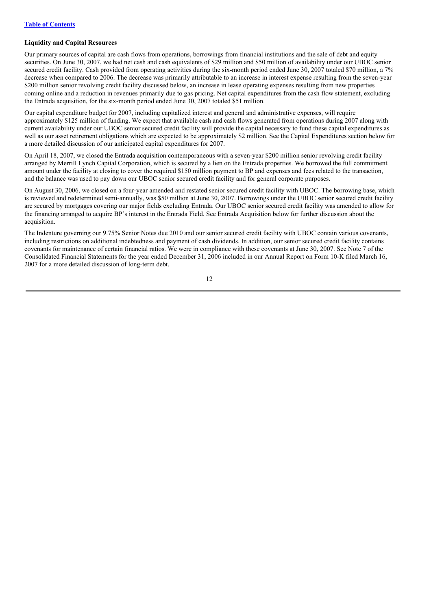# **Liquidity and Capital Resources**

Our primary sources of capital are cash flows from operations, borrowings from financial institutions and the sale of debt and equity securities. On June 30, 2007, we had net cash and cash equivalents of \$29 million and \$50 million of availability under our UBOC senior secured credit facility. Cash provided from operating activities during the six-month period ended June 30, 2007 totaled \$70 million, a 7% decrease when compared to 2006. The decrease was primarily attributable to an increase in interest expense resulting from the seven-year \$200 million senior revolving credit facility discussed below, an increase in lease operating expenses resulting from new properties coming online and a reduction in revenues primarily due to gas pricing. Net capital expenditures from the cash flow statement, excluding the Entrada acquisition, for the six-month period ended June 30, 2007 totaled \$51 million.

Our capital expenditure budget for 2007, including capitalized interest and general and administrative expenses, will require approximately \$125 million of funding. We expect that available cash and cash flows generated from operations during 2007 along with current availability under our UBOC senior secured credit facility will provide the capital necessary to fund these capital expenditures as well as our asset retirement obligations which are expected to be approximately \$2 million. See the Capital Expenditures section below for a more detailed discussion of our anticipated capital expenditures for 2007.

On April 18, 2007, we closed the Entrada acquisition contemporaneous with a seven-year \$200 million senior revolving credit facility arranged by Merrill Lynch Capital Corporation, which is secured by a lien on the Entrada properties. We borrowed the full commitment amount under the facility at closing to cover the required \$150 million payment to BP and expenses and fees related to the transaction, and the balance was used to pay down our UBOC senior secured credit facility and for general corporate purposes.

On August 30, 2006, we closed on a four-year amended and restated senior secured credit facility with UBOC. The borrowing base, which is reviewed and redetermined semi-annually, was \$50 million at June 30, 2007. Borrowings under the UBOC senior secured credit facility are secured by mortgages covering our major fields excluding Entrada. Our UBOC senior secured credit facility was amended to allow for the financing arranged to acquire BP's interest in the Entrada Field. See Entrada Acquisition below for further discussion about the acquisition.

The Indenture governing our 9.75% Senior Notes due 2010 and our senior secured credit facility with UBOC contain various covenants, including restrictions on additional indebtedness and payment of cash dividends. In addition, our senior secured credit facility contains covenants for maintenance of certain financial ratios. We were in compliance with these covenants at June 30, 2007. See Note 7 of the Consolidated Financial Statements for the year ended December 31, 2006 included in our Annual Report on Form 10-K filed March 16, 2007 for a more detailed discussion of long-term debt.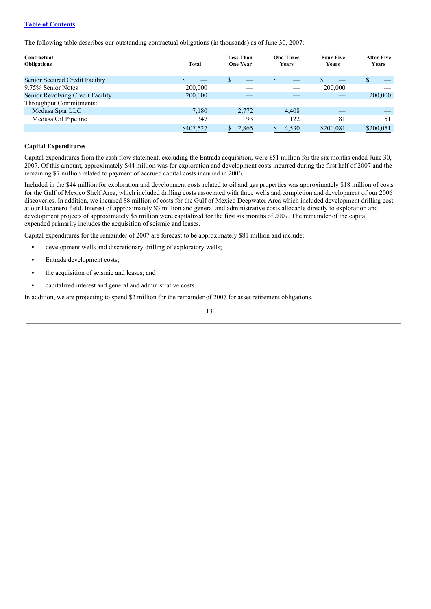The following table describes our outstanding contractual obligations (in thousands) as of June 30, 2007:

| Contractual<br><b>Obligations</b> | Total     | <b>Less Than</b><br><b>One Year</b> | <b>One-Three</b><br>Years | <b>Four-Five</b><br>Years | After-Five<br>Years |
|-----------------------------------|-----------|-------------------------------------|---------------------------|---------------------------|---------------------|
| Senior Secured Credit Facility    |           |                                     |                           |                           |                     |
| 9.75% Senior Notes                | 200,000   |                                     |                           | 200,000                   |                     |
| Senior Revolving Credit Facility  | 200,000   |                                     |                           |                           | 200,000             |
| Throughput Commitments:           |           |                                     |                           |                           |                     |
| Medusa Spar LLC                   | 7,180     | 2,772                               | 4.408                     |                           |                     |
| Medusa Oil Pipeline               | 347       | 93                                  | 122                       | 81                        | 51                  |
|                                   | \$407,527 | 2,865                               | 4,530                     | \$200,081                 | \$200,051           |

# **Capital Expenditures**

Capital expenditures from the cash flow statement, excluding the Entrada acquisition, were \$51 million for the six months ended June 30, 2007. Of this amount, approximately \$44 million was for exploration and development costs incurred during the first half of 2007 and the remaining \$7 million related to payment of accrued capital costs incurred in 2006.

Included in the \$44 million for exploration and development costs related to oil and gas properties was approximately \$18 million of costs for the Gulf of Mexico Shelf Area, which included drilling costs associated with three wells and completion and development of our 2006 discoveries. In addition, we incurred \$8 million of costs for the Gulf of Mexico Deepwater Area which included development drilling cost at our Habanero field. Interest of approximately \$3 million and general and administrative costs allocable directly to exploration and development projects of approximately \$5 million were capitalized for the first six months of 2007. The remainder of the capital expended primarily includes the acquisition of seismic and leases.

Capital expenditures for the remainder of 2007 are forecast to be approximately \$81 million and include:

- **•** development wells and discretionary drilling of exploratory wells;
- **•** Entrada development costs;
- **•** the acquisition of seismic and leases; and
- **•** capitalized interest and general and administrative costs.

In addition, we are projecting to spend \$2 million for the remainder of 2007 for asset retirement obligations.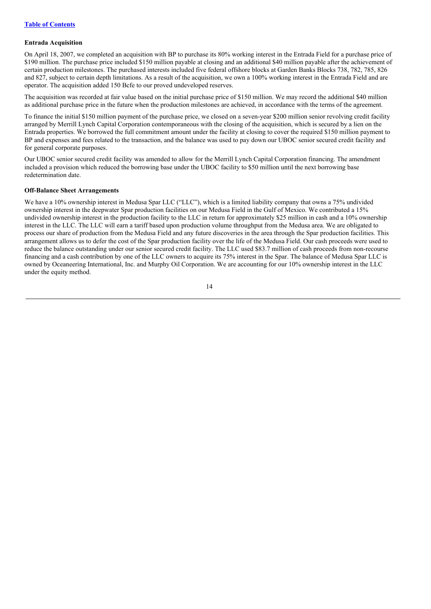#### **Entrada Acquisition**

On April 18, 2007, we completed an acquisition with BP to purchase its 80% working interest in the Entrada Field for a purchase price of \$190 million. The purchase price included \$150 million payable at closing and an additional \$40 million payable after the achievement of certain production milestones. The purchased interests included five federal offshore blocks at Garden Banks Blocks 738, 782, 785, 826 and 827, subject to certain depth limitations. As a result of the acquisition, we own a 100% working interest in the Entrada Field and are operator. The acquisition added 150 Bcfe to our proved undeveloped reserves.

The acquisition was recorded at fair value based on the initial purchase price of \$150 million. We may record the additional \$40 million as additional purchase price in the future when the production milestones are achieved, in accordance with the terms of the agreement.

To finance the initial \$150 million payment of the purchase price, we closed on a seven-year \$200 million senior revolving credit facility arranged by Merrill Lynch Capital Corporation contemporaneous with the closing of the acquisition, which is secured by a lien on the Entrada properties. We borrowed the full commitment amount under the facility at closing to cover the required \$150 million payment to BP and expenses and fees related to the transaction, and the balance was used to pay down our UBOC senior secured credit facility and for general corporate purposes.

Our UBOC senior secured credit facility was amended to allow for the Merrill Lynch Capital Corporation financing. The amendment included a provision which reduced the borrowing base under the UBOC facility to \$50 million until the next borrowing base redetermination date.

#### **Off-Balance Sheet Arrangements**

We have a 10% ownership interest in Medusa Spar LLC ("LLC"), which is a limited liability company that owns a 75% undivided ownership interest in the deepwater Spar production facilities on our Medusa Field in the Gulf of Mexico. We contributed a 15% undivided ownership interest in the production facility to the LLC in return for approximately \$25 million in cash and a 10% ownership interest in the LLC. The LLC will earn a tariff based upon production volume throughput from the Medusa area. We are obligated to process our share of production from the Medusa Field and any future discoveries in the area through the Spar production facilities. This arrangement allows us to defer the cost of the Spar production facility over the life of the Medusa Field. Our cash proceeds were used to reduce the balance outstanding under our senior secured credit facility. The LLC used \$83.7 million of cash proceeds from non-recourse financing and a cash contribution by one of the LLC owners to acquire its 75% interest in the Spar. The balance of Medusa Spar LLC is owned by Oceaneering International, Inc. and Murphy Oil Corporation. We are accounting for our 10% ownership interest in the LLC under the equity method.

14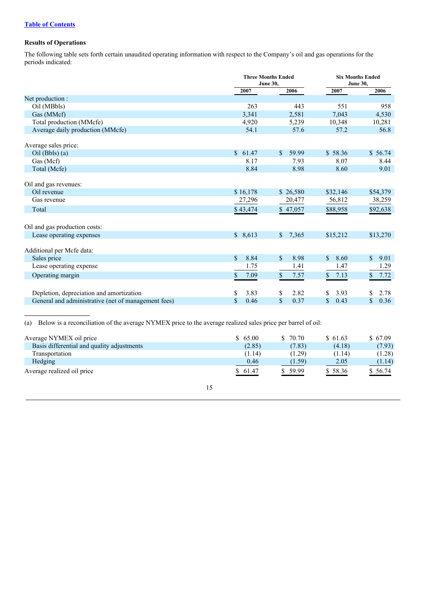# **Results of Operations**

The following table sets forth certain unaudited operating information with respect to the Company's oil and gas operations for the periods indicated:

|                                                     | <b>Three Months Ended</b><br><b>June 30,</b> |                       | <b>Six Months Ended</b><br><b>June 30,</b> |                      |
|-----------------------------------------------------|----------------------------------------------|-----------------------|--------------------------------------------|----------------------|
|                                                     | 2007                                         | 2006                  | 2007                                       | 2006                 |
| Net production :                                    |                                              |                       |                                            |                      |
| Oil (MBbls)                                         | 263                                          | 443                   | 551                                        | 958                  |
| Gas (MMcf)                                          | 3,341                                        | 2,581                 | 7,043                                      | 4,530                |
| Total production (MMcfe)                            | 4,920                                        | 5,239                 | 10,348                                     | 10,281               |
| Average daily production (MMcfe)                    | 54.1                                         | 57.6                  | 57.2                                       | 56.8                 |
| Average sales price:                                |                                              |                       |                                            |                      |
| Oil (Bbls) (a)                                      | \$61.47                                      | 59.99<br>S.           | \$58.36                                    | \$56.74              |
| Gas (Mcf)                                           | 8.17                                         | 7.93                  | 8.07                                       | 8.44                 |
| Total (Mcfe)                                        | 8.84                                         | 8.98                  | 8.60                                       | 9.01                 |
| Oil and gas revenues:                               |                                              |                       |                                            |                      |
| Oil revenue                                         | \$16,178                                     | \$26,580              | \$32,146                                   | \$54,379             |
| Gas revenue                                         | 27,296                                       | 20,477                | 56,812                                     | 38,259               |
| Total                                               | \$43,474                                     | \$47,057              | \$88,958                                   | \$92,638             |
|                                                     |                                              |                       |                                            |                      |
| Oil and gas production costs:                       |                                              |                       |                                            |                      |
| Lease operating expenses                            | \$8,613                                      | 7,365<br>$\mathbb{S}$ | \$15,212                                   | \$13,270             |
| Additional per Mcfe data:                           |                                              |                       |                                            |                      |
| Sales price                                         | \$<br>8.84                                   | \$<br>8.98            | 8.60<br>\$                                 | 9.01<br>\$           |
| Lease operating expense                             | 1.75                                         | 1.41                  | 1.47                                       | 1.29                 |
| Operating margin                                    | \$<br>7.09                                   | \$<br>7.57            | \$<br>7.13                                 | 7.72<br>S.           |
|                                                     |                                              |                       |                                            |                      |
| Depletion, depreciation and amortization            | 3.83<br>\$                                   | 2.82<br>\$            | 3.93                                       | 2.78<br>S            |
| General and administrative (net of management fees) | \$<br>0.46                                   | \$<br>0.37            | \$<br>0.43                                 | $\mathbb{S}$<br>0.36 |

(a) Below is a reconciliation of the average NYMEX price to the average realized sales price per barrel of oil:

| Average NYMEX oil price                    | \$65.00  | \$ 70.70 | \$61.63 | \$67.09 |
|--------------------------------------------|----------|----------|---------|---------|
| Basis differential and quality adjustments | (2.85)   | (7.83)   | (4.18)  | (7.93)  |
| Transportation                             | (1.14)   | (1.29)   | (1.14)  | (1.28)  |
| Hedging                                    | 0.46     | (1.59)   | 2.05    | (1.14)  |
| Average realized oil price                 | \$ 61.47 | \$59.99  | \$58.36 | \$56.74 |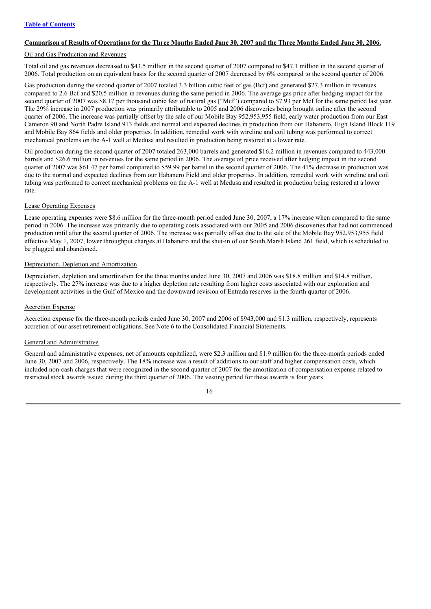# Comparison of Results of Operations for the Three Months Ended June 30, 2007 and the Three Months Ended June 30, 2006.

#### Oil and Gas Production and Revenues

Total oil and gas revenues decreased to \$43.5 million in the second quarter of 2007 compared to \$47.1 million in the second quarter of 2006. Total production on an equivalent basis for the second quarter of 2007 decreased by 6% compared to the second quarter of 2006.

Gas production during the second quarter of 2007 totaled 3.3 billion cubic feet of gas (Bcf) and generated \$27.3 million in revenues compared to 2.6 Bcf and \$20.5 million in revenues during the same period in 2006. The average gas price after hedging impact for the second quarter of 2007 was \$8.17 per thousand cubic feet of natural gas ("Mcf") compared to \$7.93 per Mcf for the same period last year. The 29% increase in 2007 production was primarily attributable to 2005 and 2006 discoveries being brought online after the second quarter of 2006. The increase was partially offset by the sale of our Mobile Bay 952,953,955 field, early water production from our East Cameron 90 and North Padre Island 913 fields and normal and expected declines in production from our Habanero, High Island Block 119 and Mobile Bay 864 fields and older properties. In addition, remedial work with wireline and coil tubing was performed to correct mechanical problems on the A-1 well at Medusa and resulted in production being restored at a lower rate.

Oil production during the second quarter of 2007 totaled 263,000 barrels and generated \$16.2 million in revenues compared to 443,000 barrels and \$26.6 million in revenues for the same period in 2006. The average oil price received after hedging impact in the second quarter of 2007 was \$61.47 per barrel compared to \$59.99 per barrel in the second quarter of 2006. The 41% decrease in production was due to the normal and expected declines from our Habanero Field and older properties. In addition, remedial work with wireline and coil tubing was performed to correct mechanical problems on the A-1 well at Medusa and resulted in production being restored at a lower rate.

#### Lease Operating Expenses

Lease operating expenses were \$8.6 million for the three-month period ended June 30, 2007, a 17% increase when compared to the same period in 2006. The increase was primarily due to operating costs associated with our 2005 and 2006 discoveries that had not commenced production until after the second quarter of 2006. The increase was partially offset due to the sale of the Mobile Bay 952,953,955 field effective May 1, 2007, lower throughput charges at Habanero and the shut-in of our South Marsh Island 261 field, which is scheduled to be plugged and abandoned.

# Depreciation, Depletion and Amortization

Depreciation, depletion and amortization for the three months ended June 30, 2007 and 2006 was \$18.8 million and \$14.8 million, respectively. The 27% increase was due to a higher depletion rate resulting from higher costs associated with our exploration and development activities in the Gulf of Mexico and the downward revision of Entrada reserves in the fourth quarter of 2006.

#### Accretion Expense

Accretion expense for the three-month periods ended June 30, 2007 and 2006 of \$943,000 and \$1.3 million, respectively, represents accretion of our asset retirement obligations. See Note 6 to the Consolidated Financial Statements.

#### General and Administrative

General and administrative expenses, net of amounts capitalized, were \$2.3 million and \$1.9 million for the three-month periods ended June 30, 2007 and 2006, respectively. The 18% increase was a result of additions to our staff and higher compensation costs, which included non-cash charges that were recognized in the second quarter of 2007 for the amortization of compensation expense related to restricted stock awards issued during the third quarter of 2006. The vesting period for these awards is four years.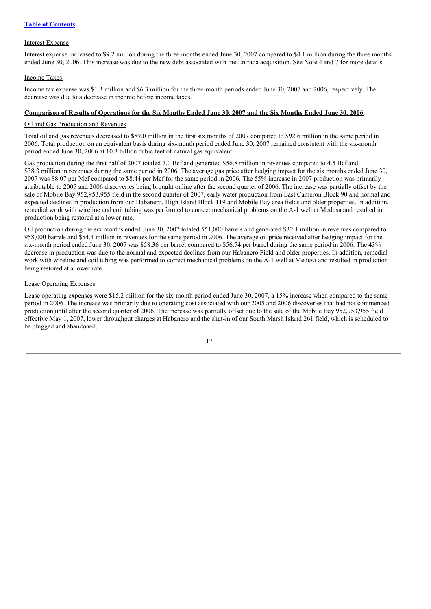# Interest Expense

Interest expense increased to \$9.2 million during the three months ended June 30, 2007 compared to \$4.1 million during the three months ended June 30, 2006. This increase was due to the new debt associated with the Entrada acquisition. See Note 4 and 7 for more details.

# Income Taxes

Income tax expense was \$1.3 million and \$6.3 million for the three-month periods ended June 30, 2007 and 2006, respectively. The decrease was due to a decrease in income before income taxes.

#### Comparison of Results of Operations for the Six Months Ended June 30, 2007 and the Six Months Ended June 30, 2006.

#### Oil and Gas Production and Revenues

Total oil and gas revenues decreased to \$89.0 million in the first six months of 2007 compared to \$92.6 million in the same period in 2006. Total production on an equivalent basis during six-month period ended June 30, 2007 remained consistent with the six-month period ended June 30, 2006 at 10.3 billion cubic feet of natural gas equivalent.

Gas production during the first half of 2007 totaled 7.0 Bcf and generated \$56.8 million in revenues compared to 4.5 Bcf and \$38.3 million in revenues during the same period in 2006. The average gas price after hedging impact for the six months ended June 30, 2007 was \$8.07 per Mcf compared to \$8.44 per Mcf for the same period in 2006. The 55% increase in 2007 production was primarily attributable to 2005 and 2006 discoveries being brought online after the second quarter of 2006. The increase was partially offset by the sale of Mobile Bay 952,953,955 field in the second quarter of 2007, early water production from East Cameron Block 90 and normal and expected declines in production from our Habanero, High Island Block 119 and Mobile Bay area fields and older properties. In addition, remedial work with wireline and coil tubing was performed to correct mechanical problems on the A-1 well at Medusa and resulted in production being restored at a lower rate.

Oil production during the six months ended June 30, 2007 totaled 551,000 barrels and generated \$32.1 million in revenues compared to 958,000 barrels and \$54.4 million in revenues for the same period in 2006. The average oil price received after hedging impact for the six-month period ended June 30, 2007 was \$58.36 per barrel compared to \$56.74 per barrel during the same period in 2006. The 43% decrease in production was due to the normal and expected declines from our Habanero Field and older properties. In addition, remedial work with wireline and coil tubing was performed to correct mechanical problems on the A-1 well at Medusa and resulted in production being restored at a lower rate.

#### Lease Operating Expenses

Lease operating expenses were \$15.2 million for the six-month period ended June 30, 2007, a 15% increase when compared to the same period in 2006. The increase was primarily due to operating cost associated with our 2005 and 2006 discoveries that had not commenced production until after the second quarter of 2006. The increase was partially offset due to the sale of the Mobile Bay 952,953,955 field effective May 1, 2007, lower throughput charges at Habanero and the shut-in of our South Marsh Island 261 field, which is scheduled to be plugged and abandoned.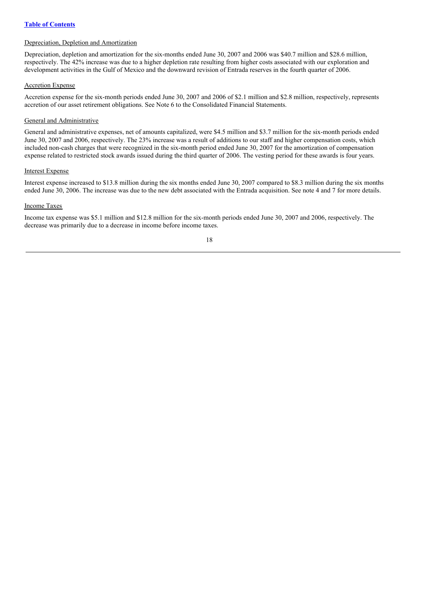# Depreciation, Depletion and Amortization

Depreciation, depletion and amortization for the six-months ended June 30, 2007 and 2006 was \$40.7 million and \$28.6 million, respectively. The 42% increase was due to a higher depletion rate resulting from higher costs associated with our exploration and development activities in the Gulf of Mexico and the downward revision of Entrada reserves in the fourth quarter of 2006.

# Accretion Expense

Accretion expense for the six-month periods ended June 30, 2007 and 2006 of \$2.1 million and \$2.8 million, respectively, represents accretion of our asset retirement obligations. See Note 6 to the Consolidated Financial Statements.

#### General and Administrative

General and administrative expenses, net of amounts capitalized, were \$4.5 million and \$3.7 million for the six-month periods ended June 30, 2007 and 2006, respectively. The 23% increase was a result of additions to our staff and higher compensation costs, which included non-cash charges that were recognized in the six-month period ended June 30, 2007 for the amortization of compensation expense related to restricted stock awards issued during the third quarter of 2006. The vesting period for these awards is four years.

#### Interest Expense

Interest expense increased to \$13.8 million during the six months ended June 30, 2007 compared to \$8.3 million during the six months ended June 30, 2006. The increase was due to the new debt associated with the Entrada acquisition. See note 4 and 7 for more details.

#### Income Taxes

Income tax expense was \$5.1 million and \$12.8 million for the six-month periods ended June 30, 2007 and 2006, respectively. The decrease was primarily due to a decrease in income before income taxes.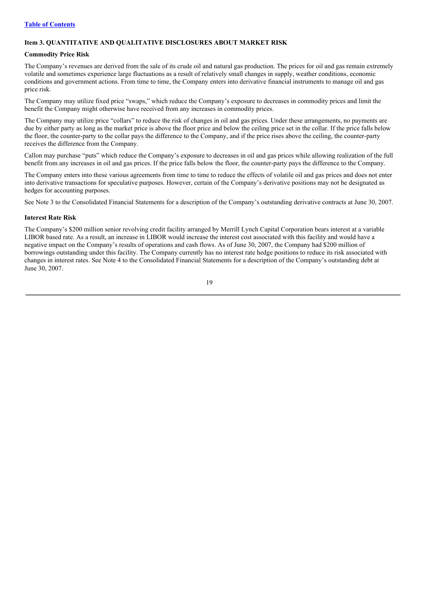# **Item 3. QUANTITATIVE AND QUALITATIVE DISCLOSURES ABOUT MARKET RISK**

#### **Commodity Price Risk**

The Company's revenues are derived from the sale of its crude oil and natural gas production. The prices for oil and gas remain extremely volatile and sometimes experience large fluctuations as a result of relatively small changes in supply, weather conditions, economic conditions and government actions. From time to time, the Company enters into derivative financial instruments to manage oil and gas price risk.

The Company may utilize fixed price "swaps," which reduce the Company's exposure to decreases in commodity prices and limit the benefit the Company might otherwise have received from any increases in commodity prices.

The Company may utilize price "collars" to reduce the risk of changes in oil and gas prices. Under these arrangements, no payments are due by either party as long as the market price is above the floor price and below the ceiling price set in the collar. If the price falls below the floor, the counter-party to the collar pays the difference to the Company, and if the price rises above the ceiling, the counter-party receives the difference from the Company.

Callon may purchase "puts" which reduce the Company's exposure to decreases in oil and gas prices while allowing realization of the full benefit from any increases in oil and gas prices. If the price falls below the floor, the counter-party pays the difference to the Company.

The Company enters into these various agreements from time to time to reduce the effects of volatile oil and gas prices and does not enter into derivative transactions for speculative purposes. However, certain of the Company's derivative positions may not be designated as hedges for accounting purposes.

See Note 3 to the Consolidated Financial Statements for a description of the Company's outstanding derivative contracts at June 30, 2007.

#### **Interest Rate Risk**

The Company's \$200 million senior revolving credit facility arranged by Merrill Lynch Capital Corporation bears interest at a variable LIBOR based rate. As a result, an increase in LIBOR would increase the interest cost associated with this facility and would have a negative impact on the Company's results of operations and cash flows. As of June 30, 2007, the Company had \$200 million of borrowings outstanding under this facility. The Company currently has no interest rate hedge positions to reduce its risk associated with changes in interest rates. See Note 4 to the Consolidated Financial Statements for a description of the Company's outstanding debt at June 30, 2007.

19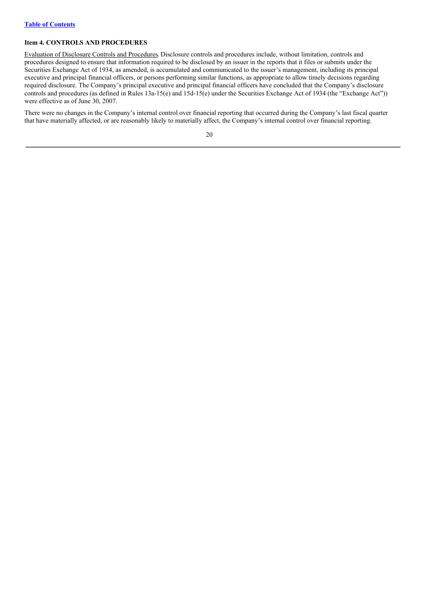# **Item 4. CONTROLS AND PROCEDURES**

Evaluation of Disclosure Controls and Procedures. Disclosure controls and procedures include, without limitation, controls and procedures designed to ensure that information required to be disclosed by an issuer in the reports that it files or submits under the Securities Exchange Act of 1934, as amended, is accumulated and communicated to the issuer's management, including its principal executive and principal financial officers, or persons performing similar functions, as appropriate to allow timely decisions regarding required disclosure. The Company's principal executive and principal financial officers have concluded that the Company's disclosure controls and procedures (as defined in Rules 13a-15(e) and 15d-15(e) under the Securities Exchange Act of 1934 (the "Exchange Act")) were effective as of June 30, 2007.

There were no changes in the Company's internal control over financial reporting that occurred during the Company's last fiscal quarter that have materially affected, or are reasonably likely to materially affect, the Company's internal control over financial reporting.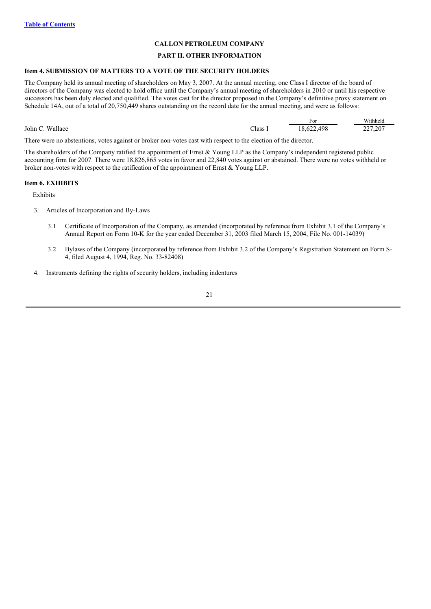# **CALLON PETROLEUM COMPANY**

# **PART II. OTHER INFORMATION**

# **Item 4. SUBMISSION OF MATTERS TO A VOTE OF THE SECURITY HOLDERS**

The Company held its annual meeting of shareholders on May 3, 2007. At the annual meeting, one Class I director of the board of directors of the Company was elected to hold office until the Company's annual meeting of shareholders in 2010 or until his respective successors has been duly elected and qualified. The votes cast for the director proposed in the Company's definitive proxy statement on Schedule 14A, out of a total of 20,750,449 shares outstanding on the record date for the annual meeting, and were as follows:

|                 |                               | For        | Withheld |
|-----------------|-------------------------------|------------|----------|
| John C. Wallace | Class <sub>1</sub><br>_______ | 18,622,498 | 227,207  |

There were no abstentions, votes against or broker non-votes cast with respect to the election of the director.

The shareholders of the Company ratified the appointment of Ernst  $& Young LLP$  as the Company's independent registered public accounting firm for 2007. There were 18,826,865 votes in favor and 22,840 votes against or abstained. There were no votes withheld or broker non-votes with respect to the ratification of the appointment of Ernst & Young LLP.

#### **Item 6. EXHIBITS**

#### Exhibits

- 3. Articles of Incorporation and By-Laws
	- 3.1 Certificate of Incorporation of the Company, as amended (incorporated by reference from Exhibit 3.1 of the Company's Annual Report on Form 10-K for the year ended December 31, 2003 filed March 15, 2004, File No. 001-14039)
	- 3.2 Bylaws of the Company (incorporated by reference from Exhibit 3.2 of the Company's Registration Statement on Form S-4, filed August 4, 1994, Reg. No. 33-82408)
- 4. Instruments defining the rights of security holders, including indentures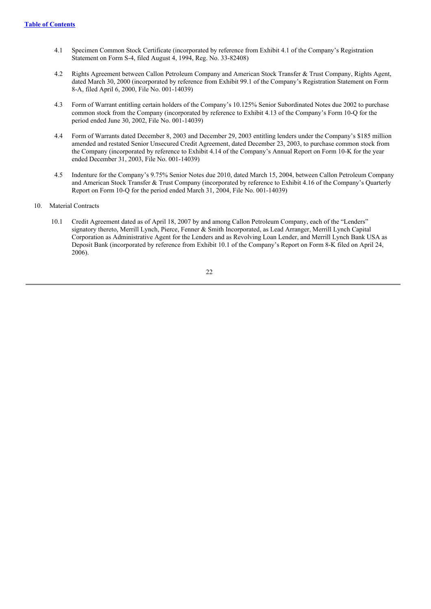- 4.1 Specimen Common Stock Certificate (incorporated by reference from Exhibit 4.1 of the Company's Registration Statement on Form S-4, filed August 4, 1994, Reg. No. 33-82408)
- 4.2 Rights Agreement between Callon Petroleum Company and American Stock Transfer & Trust Company, Rights Agent, dated March 30, 2000 (incorporated by reference from Exhibit 99.1 of the Company's Registration Statement on Form 8-A, filed April 6, 2000, File No. 001-14039)
- 4.3 Form of Warrant entitling certain holders of the Company's 10.125% Senior Subordinated Notes due 2002 to purchase common stock from the Company (incorporated by reference to Exhibit 4.13 of the Company's Form 10-Q for the period ended June 30, 2002, File No. 001-14039)
- 4.4 Form of Warrants dated December 8, 2003 and December 29, 2003 entitling lenders under the Company's \$185 million amended and restated Senior Unsecured Credit Agreement, dated December 23, 2003, to purchase common stock from the Company (incorporated by reference to Exhibit 4.14 of the Company's Annual Report on Form 10-K for the year ended December 31, 2003, File No. 001-14039)
- 4.5 Indenture for the Company's 9.75% Senior Notes due 2010, dated March 15, 2004, between Callon Petroleum Company and American Stock Transfer & Trust Company (incorporated by reference to Exhibit 4.16 of the Company's Quarterly Report on Form 10-Q for the period ended March 31, 2004, File No. 001-14039)

#### 10. Material Contracts

10.1 Credit Agreement dated as of April 18, 2007 by and among Callon Petroleum Company, each of the "Lenders" signatory thereto, Merrill Lynch, Pierce, Fenner & Smith Incorporated, as Lead Arranger, Merrill Lynch Capital Corporation as Administrative Agent for the Lenders and as Revolving Loan Lender, and Merrill Lynch Bank USA as Deposit Bank (incorporated by reference from Exhibit 10.1 of the Company's Report on Form 8-K filed on April 24, 2006).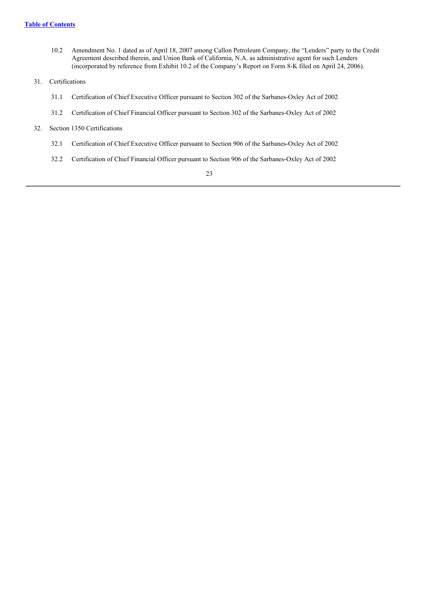- 10.2 Amendment No. 1 dated as of April 18, 2007 among Callon Petroleum Company, the "Lenders" party to the Credit Agreement described therein, and Union Bank of California, N.A. as administrative agent for such Lenders (incorporated by reference from Exhibit 10.2 of the Company's Report on Form 8-K filed on April 24, 2006).
- 31. Certifications
	- 31.1 Certification of Chief Executive Officer pursuant to Section 302 of the Sarbanes-Oxley Act of 2002
	- 31.2 Certification of Chief Financial Officer pursuant to Section 302 of the Sarbanes-Oxley Act of 2002
- 32. Section 1350 Certifications
	- 32.1 Certification of Chief Executive Officer pursuant to Section 906 of the Sarbanes-Oxley Act of 2002
	- 32.2 Certification of Chief Financial Officer pursuant to Section 906 of the Sarbanes-Oxley Act of 2002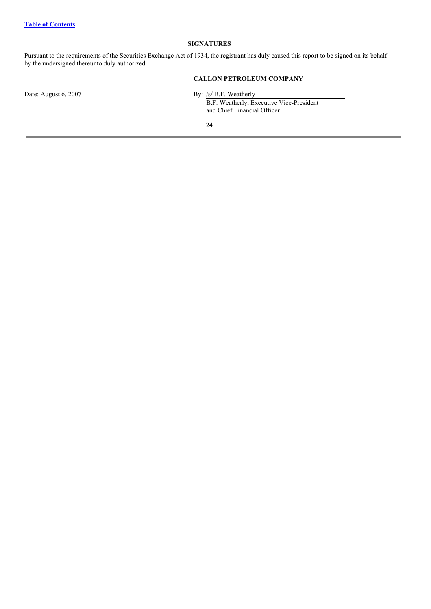# **SIGNATURES**

Pursuant to the requirements of the Securities Exchange Act of 1934, the registrant has duly caused this report to be signed on its behalf by the undersigned thereunto duly authorized.

# **CALLON PETROLEUM COMPANY**

Date: August 6, 2007 By: /s/ B.F. Weatherly B.F. Weatherly, Executive Vice-President and Chief Financial Officer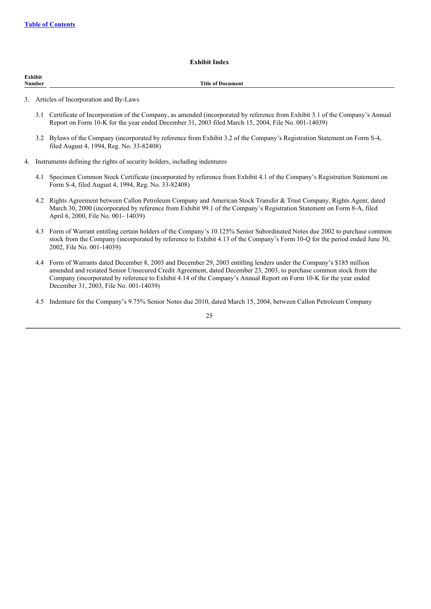#### **Exhibit Index**

| Exhibit       |                          |
|---------------|--------------------------|
| <b>Number</b> | <b>Title of Document</b> |

#### 3. Articles of Incorporation and By-Laws

- 3.1 Certificate of Incorporation of the Company, as amended (incorporated by reference from Exhibit 3.1 of the Company's Annual Report on Form 10-K for the year ended December 31, 2003 filed March 15, 2004, File No. 001-14039)
- 3.2 Bylaws of the Company (incorporated by reference from Exhibit 3.2 of the Company's Registration Statement on Form S-4, filed August 4, 1994, Reg. No. 33-82408)
- 4. Instruments defining the rights of security holders, including indentures
	- 4.1 Specimen Common Stock Certificate (incorporated by reference from Exhibit 4.1 of the Company's Registration Statement on Form S-4, filed August 4, 1994, Reg. No. 33-82408)
	- 4.2 Rights Agreement between Callon Petroleum Company and American Stock Transfer & Trust Company, Rights Agent, dated March 30, 2000 (incorporated by reference from Exhibit 99.1 of the Company's Registration Statement on Form 8-A, filed April 6, 2000, File No. 001- 14039)
	- 4.3 Form of Warrant entitling certain holders of the Company's 10.125% Senior Subordinated Notes due 2002 to purchase common stock from the Company (incorporated by reference to Exhibit 4.13 of the Company's Form 10-Q for the period ended June 30, 2002, File No. 001-14039)
	- 4.4 Form of Warrants dated December 8, 2003 and December 29, 2003 entitling lenders under the Company's \$185 million amended and restated Senior Unsecured Credit Agreement, dated December 23, 2003, to purchase common stock from the Company (incorporated by reference to Exhibit 4.14 of the Company's Annual Report on Form 10-K for the year ended December 31, 2003, File No. 001-14039)
	- 4.5 Indenture for the Company's 9.75% Senior Notes due 2010, dated March 15, 2004, between Callon Petroleum Company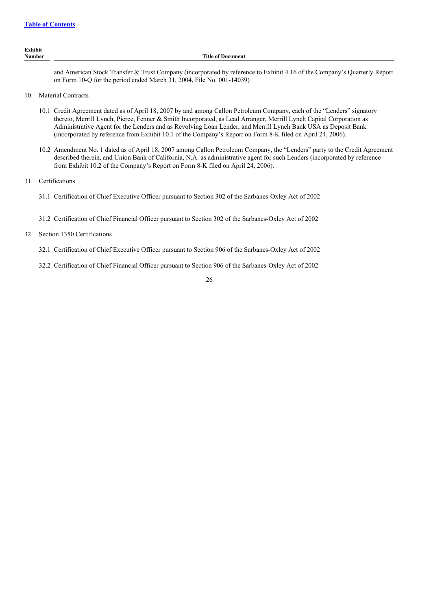**Exhibit**

| <b>Number</b>   | <b>Title of Document</b>                                                                                                                                                                                                                       |  |  |
|-----------------|------------------------------------------------------------------------------------------------------------------------------------------------------------------------------------------------------------------------------------------------|--|--|
|                 | and American Stock Transfer & Trust Company (incorporated by reference to Exhibit 4.16 of the Company's Quarterly Report<br>on Form 10-O for the period ended March 31, 2004, File No. $001-14039$                                             |  |  |
| 10 <sup>1</sup> | Material Contracts                                                                                                                                                                                                                             |  |  |
|                 | 10.1 Credit Agreement dated as of April 18, 2007 by and among Callon Petroleum Company, each of the "Lenders" signatory<br>thereto, Merrill Lynch, Pierce, Fenner & Smith Incorporated, as Lead Arranger, Merrill Lynch Capital Corporation as |  |  |

Administrative Agent for the Lenders and as Revolving Loan Lender, and Merrill Lynch Bank USA as Deposit Bank

- (incorporated by reference from Exhibit 10.1 of the Company's Report on Form 8-K filed on April 24, 2006). 10.2 Amendment No. 1 dated as of April 18, 2007 among Callon Petroleum Company, the "Lenders" party to the Credit Agreement described therein, and Union Bank of California, N.A. as administrative agent for such Lenders (incorporated by reference from Exhibit 10.2 of the Company's Report on Form 8-K filed on April 24, 2006).
- 31. Certifications
	- 31.1 Certification of Chief Executive Officer pursuant to Section 302 of the Sarbanes-Oxley Act of 2002
	- 31.2 Certification of Chief Financial Officer pursuant to Section 302 of the Sarbanes-Oxley Act of 2002

#### 32. Section 1350 Certifications

- 32.1 Certification of Chief Executive Officer pursuant to Section 906 of the Sarbanes-Oxley Act of 2002
- 32.2 Certification of Chief Financial Officer pursuant to Section 906 of the Sarbanes-Oxley Act of 2002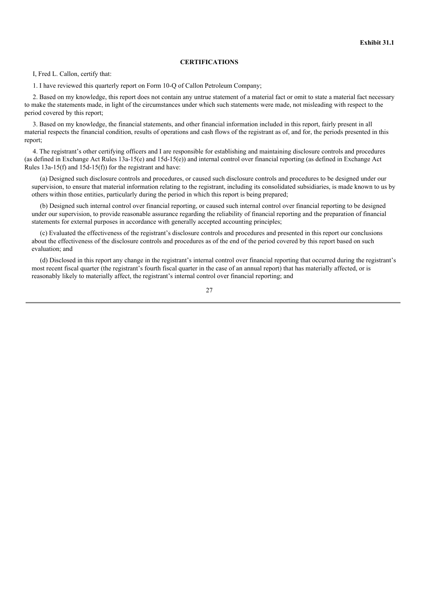#### **CERTIFICATIONS**

<span id="page-26-0"></span>I, Fred L. Callon, certify that:

1. I have reviewed this quarterly report on Form 10-Q of Callon Petroleum Company;

2. Based on my knowledge, this report does not contain any untrue statement of a material fact or omit to state a material fact necessary to make the statements made, in light of the circumstances under which such statements were made, not misleading with respect to the period covered by this report;

3. Based on my knowledge, the financial statements, and other financial information included in this report, fairly present in all material respects the financial condition, results of operations and cash flows of the registrant as of, and for, the periods presented in this report;

4. The registrant's other certifying officers and I are responsible for establishing and maintaining disclosure controls and procedures (as defined in Exchange Act Rules 13a-15(e) and 15d-15(e)) and internal control over financial reporting (as defined in Exchange Act Rules  $13a-15(f)$  and  $15d-15(f)$  for the registrant and have:

(a) Designed such disclosure controls and procedures, or caused such disclosure controls and procedures to be designed under our supervision, to ensure that material information relating to the registrant, including its consolidated subsidiaries, is made known to us by others within those entities, particularly during the period in which this report is being prepared;

(b) Designed such internal control over financial reporting, or caused such internal control over financial reporting to be designed under our supervision, to provide reasonable assurance regarding the reliability of financial reporting and the preparation of financial statements for external purposes in accordance with generally accepted accounting principles;

(c) Evaluated the effectiveness of the registrant's disclosure controls and procedures and presented in this report our conclusions about the effectiveness of the disclosure controls and procedures as of the end of the period covered by this report based on such evaluation; and

(d) Disclosed in this report any change in the registrant's internal control over financial reporting that occurred during the registrant's most recent fiscal quarter (the registrant's fourth fiscal quarter in the case of an annual report) that has materially affected, or is reasonably likely to materially affect, the registrant's internal control over financial reporting; and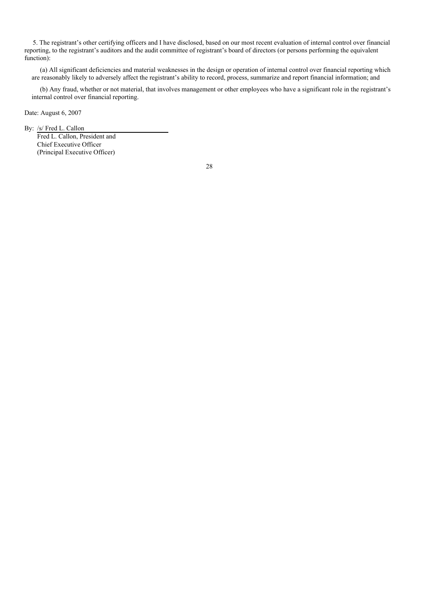5. The registrant's other certifying officers and I have disclosed, based on our most recent evaluation of internal control over financial reporting, to the registrant's auditors and the audit committee of registrant's board of directors (or persons performing the equivalent function):

(a) All significant deficiencies and material weaknesses in the design or operation of internal control over financial reporting which are reasonably likely to adversely affect the registrant's ability to record, process, summarize and report financial information; and

(b) Any fraud, whether or not material, that involves management or other employees who have a significant role in the registrant's internal control over financial reporting.

Date: August 6, 2007

By: /s/ Fred L. Callon

Fred L. Callon, President and Chief Executive Officer (Principal Executive Officer)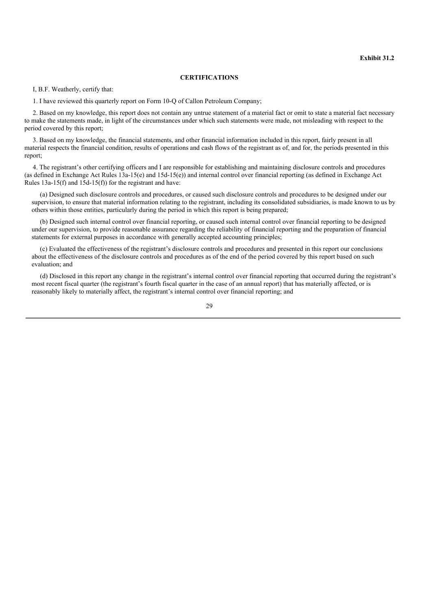#### **CERTIFICATIONS**

<span id="page-28-0"></span>I, B.F. Weatherly, certify that:

1. I have reviewed this quarterly report on Form 10-Q of Callon Petroleum Company;

2. Based on my knowledge, this report does not contain any untrue statement of a material fact or omit to state a material fact necessary to make the statements made, in light of the circumstances under which such statements were made, not misleading with respect to the period covered by this report;

3. Based on my knowledge, the financial statements, and other financial information included in this report, fairly present in all material respects the financial condition, results of operations and cash flows of the registrant as of, and for, the periods presented in this report;

4. The registrant's other certifying officers and I are responsible for establishing and maintaining disclosure controls and procedures (as defined in Exchange Act Rules 13a-15(e) and 15d-15(e)) and internal control over financial reporting (as defined in Exchange Act Rules 13a-15(f) and 15d-15(f)) for the registrant and have:

(a) Designed such disclosure controls and procedures, or caused such disclosure controls and procedures to be designed under our supervision, to ensure that material information relating to the registrant, including its consolidated subsidiaries, is made known to us by others within those entities, particularly during the period in which this report is being prepared;

(b) Designed such internal control over financial reporting, or caused such internal control over financial reporting to be designed under our supervision, to provide reasonable assurance regarding the reliability of financial reporting and the preparation of financial statements for external purposes in accordance with generally accepted accounting principles;

(c) Evaluated the effectiveness of the registrant's disclosure controls and procedures and presented in this report our conclusions about the effectiveness of the disclosure controls and procedures as of the end of the period covered by this report based on such evaluation; and

(d) Disclosed in this report any change in the registrant's internal control over financial reporting that occurred during the registrant's most recent fiscal quarter (the registrant's fourth fiscal quarter in the case of an annual report) that has materially affected, or is reasonably likely to materially affect, the registrant's internal control over financial reporting; and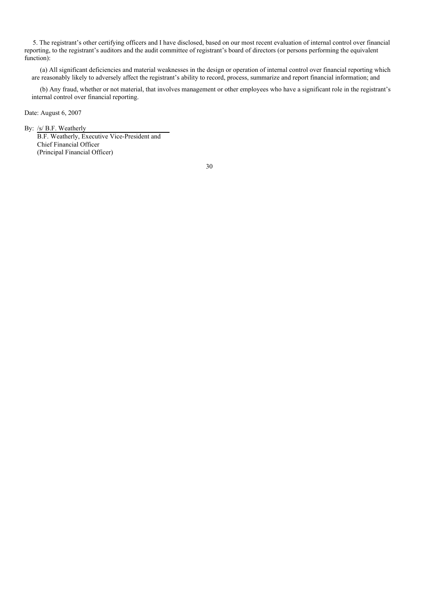5. The registrant's other certifying officers and I have disclosed, based on our most recent evaluation of internal control over financial reporting, to the registrant's auditors and the audit committee of registrant's board of directors (or persons performing the equivalent function):

(a) All significant deficiencies and material weaknesses in the design or operation of internal control over financial reporting which are reasonably likely to adversely affect the registrant's ability to record, process, summarize and report financial information; and

(b) Any fraud, whether or not material, that involves management or other employees who have a significant role in the registrant's internal control over financial reporting.

Date: August 6, 2007

By: /s/ B.F. Weatherly

B.F. Weatherly, Executive Vice-President and Chief Financial Officer (Principal Financial Officer)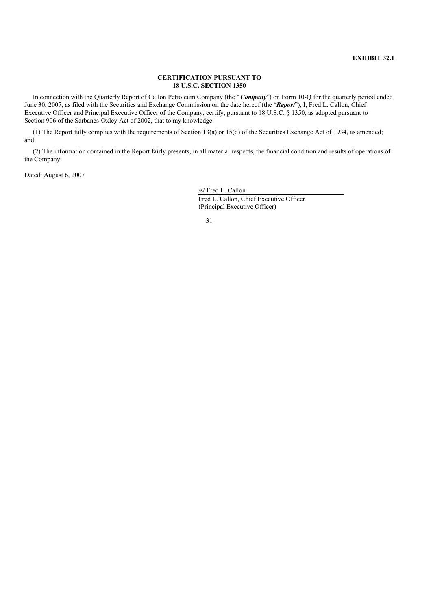#### **CERTIFICATION PURSUANT TO 18 U.S.C. SECTION 1350**

<span id="page-30-0"></span>In connection with the Quarterly Report of Callon Petroleum Company (the "*Company*") on Form 10-Q for the quarterly period ended June 30, 2007, as filed with the Securities and Exchange Commission on the date hereof (the "*Report*"), I, Fred L. Callon, Chief Executive Officer and Principal Executive Officer of the Company, certify, pursuant to 18 U.S.C. § 1350, as adopted pursuant to Section 906 of the Sarbanes-Oxley Act of 2002, that to my knowledge:

(1) The Report fully complies with the requirements of Section 13(a) or 15(d) of the Securities Exchange Act of 1934, as amended; and

(2) The information contained in the Report fairly presents, in all material respects, the financial condition and results of operations of the Company.

Dated: August 6, 2007

/s/ Fred L. Callon Fred L. Callon, Chief Executive Officer (Principal Executive Officer)